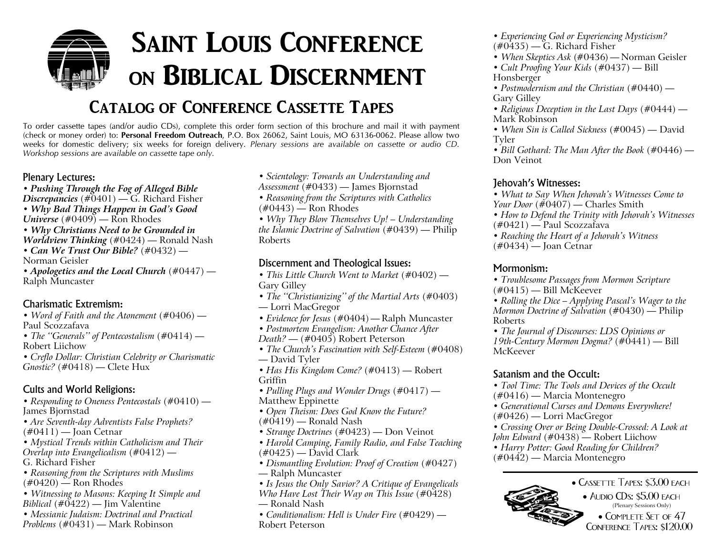## **Saint Louis Conferenceon Biblical Discernment**

### **Catalog of Conference Cassette Tapes**

To order cassette tapes (and/or audio CDs), complete this order form section of this brochure and mail it with payment (check or money order) to: **Personal Freedom Outreach**, P.O. Box 26062, Saint Louis, MO 63136-0062. Please allow two weeks for domestic delivery; six weeks for foreign delivery. Plenary sessions are available on cassette or audio CD. *Workshop sessions are available on cassette tape only.*

#### Plenary Lectures:

*• Pushing Through the Fog of Alleged Bible Discrepancies* (#0401) — G. Richard Fisher *• Why Bad Things Happen in God's Good Universe* (#0409) — Ron Rhodes *• Why Christians Need to be Grounded in Worldview Thinking* (#0424) — Ronald Nash *• Can We Trust Our Bible?* (#0432) — Norman Geisler*• Apologetics and the Local Church* (#0447) — Ralph Muncaster

#### Charismatic Extremism:

- *• Word of Faith and the Atonement* (#0406) Paul Scozzafava
- *• The ''Generals'' of Pentecostalism* (#0414) Robert Liichow
- *• Creflo Dollar: Christian Celebrity or Charismatic Gnostic?* (#0418) — Clete Hux

#### Cults and World Religions:

- *• Responding to Oneness Pentecostals* (#0410) James Bjornstad
- *• Are Seventh-day Adventists False Prophets?* (#0411) — Joan Cetnar
- *Mystical Trends within Catholicism and Their Overlap into Evangelicalism* (#0412) —
- G. Richard Fisher
- *• Reasoning from the Scriptures with Muslims*  $(\text{\#}0420)$  — Ron Rhodes
- *• Witnessing to Masons: Keeping It Simple and Biblical* (#0422) — Jim Valentine
- *• Messianic Judaism: Doctrinal and Practical Problems* (#0431) — Mark Robinson
- *• Scientology: Towards an Understanding and*
- *Assessment* (#0433) James Bjornstad
- *• Reasoning from the Scriptures with Catholics*  $(\text{\#}0443)$  – Ron Rhodes
- 
- *• Why They Blow Themselves Up! – Understanding the Islamic Doctrine of Salvation* (#0439) — Philip Roberts

#### Discernment and Theological Issues:

- *• This Little Church Went to Market* (#0402) Gary Gilley
- *• The ''Christianizing'' of the Martial Arts* (#0403) — Lorri MacGregor
- *• Evidence for Jesus* (#0404) Ralph Muncaster
- *• Postmortem Evangelism: Another Chance After*
- *Death?* (#0405) Robert Peterson
- *• The Church's Fascination with Self-Esteem* (#0408) — David Tyler
- *• Has His Kingdom Come?* (#0413) Robert Griffin
- *• Pulling Plugs and Wonder Drugs* (#0417) Matthew Eppinette
- *• Open Theism: Does God Know the Future?*  $(\text{\#0419})$  — Ronald Nash
- *• Strange Doctrines* (#0423) Don Veinot
- *• Harold Camping, Family Radio, and False Teaching*  $(\text{\#}0425)$  — David Clark
- *• Dismantling Evolution: Proof of Creation* (#0427) — Ralph Muncaster
- *• Is Jesus the Only Savior? A Critique of Evangelicals*
- *Who Have Lost Their Way on This Issue* (#0428)
- Ronald Nash
- *• Conditionalism: Hell is Under Fire* (#0429) Robert Peterson
- *• Experiencing God or Experiencing Mysticism?*  $(\text{\#}0435)$  — G. Richard Fisher
- *When Skeptics Ask* (#0436) Norman Geisler
- *• Cult Proofing Your Kids* (#0437) Bill Honsberger
- *• Postmodernism and the Christian* (#0440) Gary Gilley
- *• Religious Deception in the Last Days* (#0444) Mark Robinson
- *• When Sin is Called Sickness* (#0045) David Tyler

*• Bill Gothard: The Man After the Book* (#0446) — Don Veinot

#### Jehovah's Witnesses:

- *What to Say When Jehovah's Witnesses Come to Your Door* (#0407) — Charles Smith
- *• How to Defend the Trinity with Jehovah's Witnesses*  $(\text{\#}0421)$  — Paul Scozzafava
- *• Reaching the Heart of <sup>a</sup> Jehovah's Witness* (#0434) — Joan Cetnar

#### Mormonism:

- *• Troublesome Passages from Mormon Scripture*  $(\text{\#}0415)$  — Bill McKeever
- *• Rolling the Dice – Applying Pascal's Wager to the Mormon Doctrine of Salvation* (#0430) — Philip Roberts
- *• The Journal of Discourses: LDS Opinions or 19th-Century Mormon Dogma?* (#0441) — Bill McKeever

#### Satanism and the Occult:

- *• Tool Time: The Tools and Devices of the Occult* (#0416) — Marcia Montenegro
- *• Generational Curses and Demons Everywhere!* (#0426) — Lorri MacGregor
- *• Crossing Over or Being Double-Crossed: A Look at John Edward* (#0438) — Robert Liichow
- *Harry Potter: Good Reading for Children?*
- (#0442) Marcia Montenegro